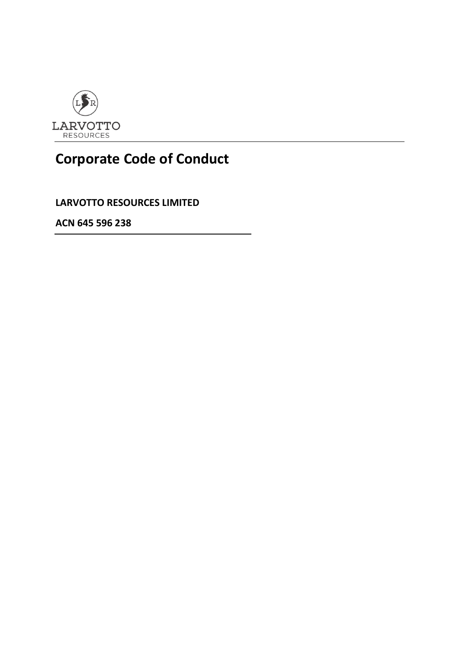

# **Corporate Code of Conduct**

**LARVOTTO RESOURCES LIMITED**

**ACN 645 596 238**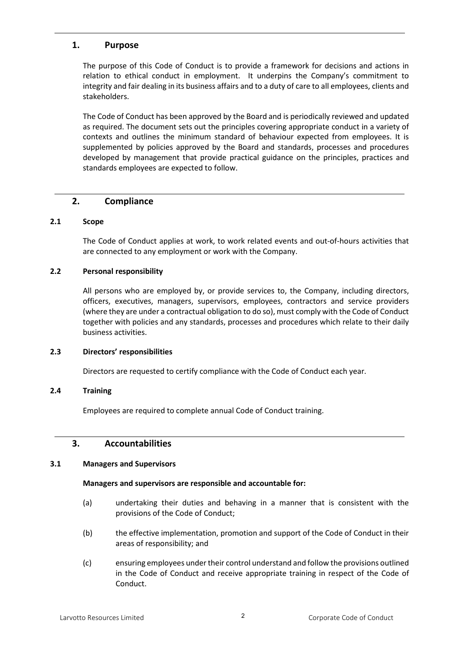### **1. Purpose**

The purpose of this Code of Conduct is to provide a framework for decisions and actions in relation to ethical conduct in employment. It underpins the Company's commitment to integrity and fair dealing in its business affairs and to a duty of care to all employees, clients and stakeholders.

The Code of Conduct has been approved by the Board and is periodically reviewed and updated as required. The document sets out the principles covering appropriate conduct in a variety of contexts and outlines the minimum standard of behaviour expected from employees. It is supplemented by policies approved by the Board and standards, processes and procedures developed by management that provide practical guidance on the principles, practices and standards employees are expected to follow.

# **2. Compliance**

#### **2.1 Scope**

The Code of Conduct applies at work, to work related events and out-of-hours activities that are connected to any employment or work with the Company.

#### **2.2 Personal responsibility**

All persons who are employed by, or provide services to, the Company, including directors, officers, executives, managers, supervisors, employees, contractors and service providers (where they are under a contractual obligation to do so), must comply with the Code of Conduct together with policies and any standards, processes and procedures which relate to their daily business activities.

#### **2.3 Directors' responsibilities**

Directors are requested to certify compliance with the Code of Conduct each year.

#### **2.4 Training**

Employees are required to complete annual Code of Conduct training.

# **3. Accountabilities**

#### **3.1 Managers and Supervisors**

#### **Managers and supervisors are responsible and accountable for:**

- (a) undertaking their duties and behaving in a manner that is consistent with the provisions of the Code of Conduct;
- (b) the effective implementation, promotion and support of the Code of Conduct in their areas of responsibility; and
- (c) ensuring employees under their control understand and follow the provisions outlined in the Code of Conduct and receive appropriate training in respect of the Code of Conduct.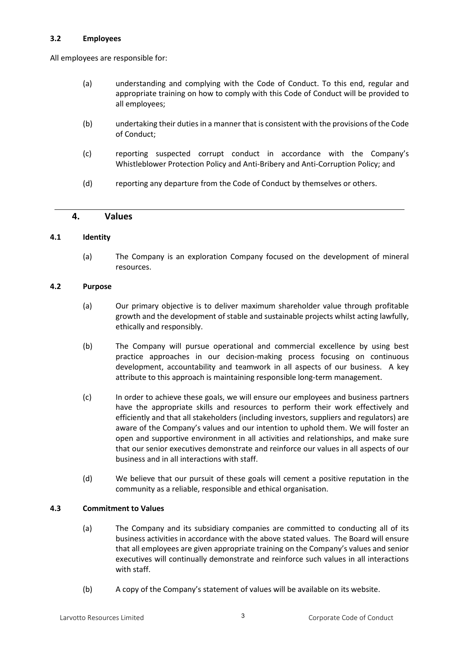#### **3.2 Employees**

All employees are responsible for:

- (a) understanding and complying with the Code of Conduct. To this end, regular and appropriate training on how to comply with this Code of Conduct will be provided to all employees;
- (b) undertaking their duties in a manner that is consistent with the provisions of the Code of Conduct;
- (c) reporting suspected corrupt conduct in accordance with the Company's Whistleblower Protection Policy and Anti-Bribery and Anti-Corruption Policy; and
- (d) reporting any departure from the Code of Conduct by themselves or others.

#### **4. Values**

#### **4.1 Identity**

(a) The Company is an exploration Company focused on the development of mineral resources.

#### **4.2 Purpose**

- (a) Our primary objective is to deliver maximum shareholder value through profitable growth and the development of stable and sustainable projects whilst acting lawfully, ethically and responsibly.
- (b) The Company will pursue operational and commercial excellence by using best practice approaches in our decision-making process focusing on continuous development, accountability and teamwork in all aspects of our business. A key attribute to this approach is maintaining responsible long-term management.
- (c) In order to achieve these goals, we will ensure our employees and business partners have the appropriate skills and resources to perform their work effectively and efficiently and that all stakeholders (including investors, suppliers and regulators) are aware of the Company's values and our intention to uphold them. We will foster an open and supportive environment in all activities and relationships, and make sure that our senior executives demonstrate and reinforce our values in all aspects of our business and in all interactions with staff.
- (d) We believe that our pursuit of these goals will cement a positive reputation in the community as a reliable, responsible and ethical organisation.

#### **4.3 Commitment to Values**

- (a) The Company and its subsidiary companies are committed to conducting all of its business activities in accordance with the above stated values. The Board will ensure that all employees are given appropriate training on the Company's values and senior executives will continually demonstrate and reinforce such values in all interactions with staff.
- (b) A copy of the Company's statement of values will be available on its website.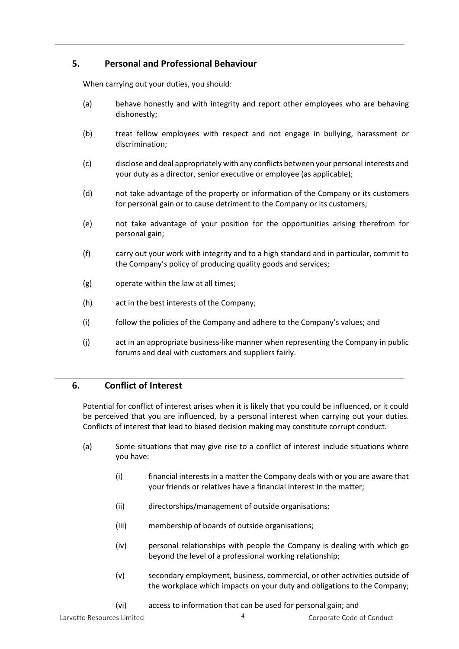# **5. Personal and Professional Behaviour**

When carrying out your duties, you should:

- (a) behave honestly and with integrity and report other employees who are behaving dishonestly;
- (b) treat fellow employees with respect and not engage in bullying, harassment or discrimination;
- (c) disclose and deal appropriately with any conflicts between your personal interests and your duty as a director, senior executive or employee (as applicable);
- (d) not take advantage of the property or information of the Company or its customers for personal gain or to cause detriment to the Company or its customers;
- (e) not take advantage of your position for the opportunities arising therefrom for personal gain;
- (f) carry out your work with integrity and to a high standard and in particular, commit to the Company's policy of producing quality goods and services;
- (g) operate within the law at all times;
- (h) act in the best interests of the Company;
- (i) follow the policies of the Company and adhere to the Company's values; and
- (j) act in an appropriate business-like manner when representing the Company in public forums and deal with customers and suppliers fairly.

# **6. Conflict of Interest**

Potential for conflict of interest arises when it is likely that you could be influenced, or it could be perceived that you are influenced, by a personal interest when carrying out your duties. Conflicts of interest that lead to biased decision making may constitute corrupt conduct.

- (a) Some situations that may give rise to a conflict of interest include situations where you have:
	- (i) financial interests in a matter the Company deals with or you are aware that your friends or relatives have a financial interest in the matter;
	- (ii) directorships/management of outside organisations;
	- (iii) membership of boards of outside organisations;
	- (iv) personal relationships with people the Company is dealing with which go beyond the level of a professional working relationship;
	- (v) secondary employment, business, commercial, or other activities outside of the workplace which impacts on your duty and obligations to the Company;
	- (vi) access to information that can be used for personal gain; and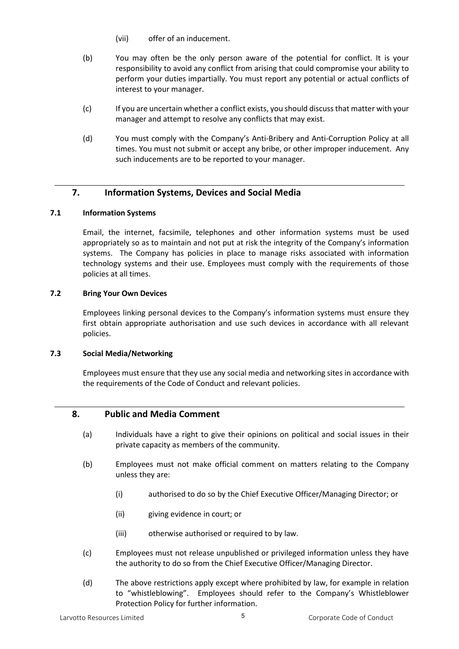- (vii) offer of an inducement.
- (b) You may often be the only person aware of the potential for conflict. It is your responsibility to avoid any conflict from arising that could compromise your ability to perform your duties impartially. You must report any potential or actual conflicts of interest to your manager.
- (c) If you are uncertain whether a conflict exists, you should discuss that matter with your manager and attempt to resolve any conflicts that may exist.
- (d) You must comply with the Company's Anti-Bribery and Anti-Corruption Policy at all times. You must not submit or accept any bribe, or other improper inducement. Any such inducements are to be reported to your manager.

# **7. Information Systems, Devices and Social Media**

#### **7.1 Information Systems**

Email, the internet, facsimile, telephones and other information systems must be used appropriately so as to maintain and not put at risk the integrity of the Company's information systems. The Company has policies in place to manage risks associated with information technology systems and their use. Employees must comply with the requirements of those policies at all times.

#### **7.2 Bring Your Own Devices**

Employees linking personal devices to the Company's information systems must ensure they first obtain appropriate authorisation and use such devices in accordance with all relevant policies.

#### **7.3 Social Media/Networking**

Employees must ensure that they use any social media and networking sites in accordance with the requirements of the Code of Conduct and relevant policies.

# **8. Public and Media Comment**

- (a) Individuals have a right to give their opinions on political and social issues in their private capacity as members of the community.
- (b) Employees must not make official comment on matters relating to the Company unless they are:
	- (i) authorised to do so by the Chief Executive Officer/Managing Director; or
	- (ii) giving evidence in court; or
	- (iii) otherwise authorised or required to by law.
- (c) Employees must not release unpublished or privileged information unless they have the authority to do so from the Chief Executive Officer/Managing Director.
- (d) The above restrictions apply except where prohibited by law, for example in relation to "whistleblowing". Employees should refer to the Company's Whistleblower Protection Policy for further information.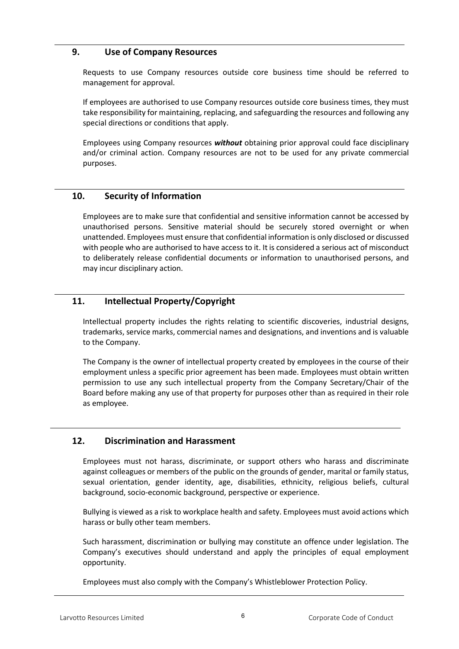# **9. Use of Company Resources**

Requests to use Company resources outside core business time should be referred to management for approval.

If employees are authorised to use Company resources outside core business times, they must take responsibility for maintaining, replacing, and safeguarding the resources and following any special directions or conditions that apply.

Employees using Company resources *without* obtaining prior approval could face disciplinary and/or criminal action. Company resources are not to be used for any private commercial purposes.

# **10. Security of Information**

Employees are to make sure that confidential and sensitive information cannot be accessed by unauthorised persons. Sensitive material should be securely stored overnight or when unattended. Employees must ensure that confidential information is only disclosed or discussed with people who are authorised to have access to it. It is considered a serious act of misconduct to deliberately release confidential documents or information to unauthorised persons, and may incur disciplinary action.

# **11. Intellectual Property/Copyright**

Intellectual property includes the rights relating to scientific discoveries, industrial designs, trademarks, service marks, commercial names and designations, and inventions and is valuable to the Company.

The Company is the owner of intellectual property created by employees in the course of their employment unless a specific prior agreement has been made. Employees must obtain written permission to use any such intellectual property from the Company Secretary/Chair of the Board before making any use of that property for purposes other than as required in their role as employee.

# **12. Discrimination and Harassment**

Employees must not harass, discriminate, or support others who harass and discriminate against colleagues or members of the public on the grounds of gender, marital or family status, sexual orientation, gender identity, age, disabilities, ethnicity, religious beliefs, cultural background, socio-economic background, perspective or experience.

Bullying is viewed as a risk to workplace health and safety. Employees must avoid actions which harass or bully other team members.

Such harassment, discrimination or bullying may constitute an offence under legislation. The Company's executives should understand and apply the principles of equal employment opportunity.

Employees must also comply with the Company's Whistleblower Protection Policy.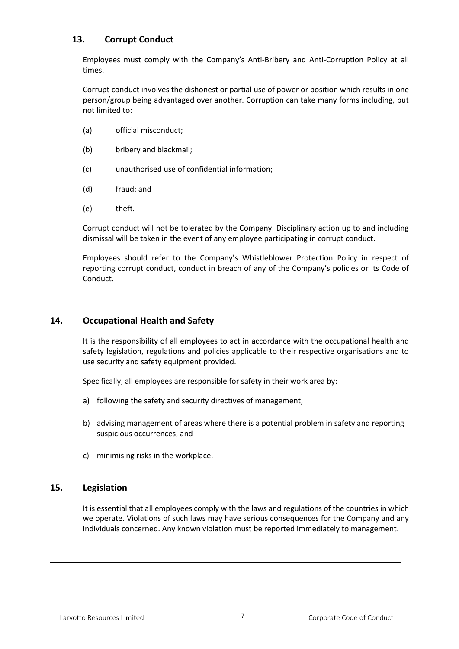# **13. Corrupt Conduct**

Employees must comply with the Company's Anti-Bribery and Anti-Corruption Policy at all times.

Corrupt conduct involves the dishonest or partial use of power or position which results in one person/group being advantaged over another. Corruption can take many forms including, but not limited to:

- (a) official misconduct;
- (b) bribery and blackmail;
- (c) unauthorised use of confidential information;
- (d) fraud; and
- (e) theft.

Corrupt conduct will not be tolerated by the Company. Disciplinary action up to and including dismissal will be taken in the event of any employee participating in corrupt conduct.

Employees should refer to the Company's Whistleblower Protection Policy in respect of reporting corrupt conduct, conduct in breach of any of the Company's policies or its Code of Conduct.

# **14. Occupational Health and Safety**

It is the responsibility of all employees to act in accordance with the occupational health and safety legislation, regulations and policies applicable to their respective organisations and to use security and safety equipment provided.

Specifically, all employees are responsible for safety in their work area by:

- a) following the safety and security directives of management;
- b) advising management of areas where there is a potential problem in safety and reporting suspicious occurrences; and
- c) minimising risks in the workplace.

# **15. Legislation**

It is essential that all employees comply with the laws and regulations of the countries in which we operate. Violations of such laws may have serious consequences for the Company and any individuals concerned. Any known violation must be reported immediately to management.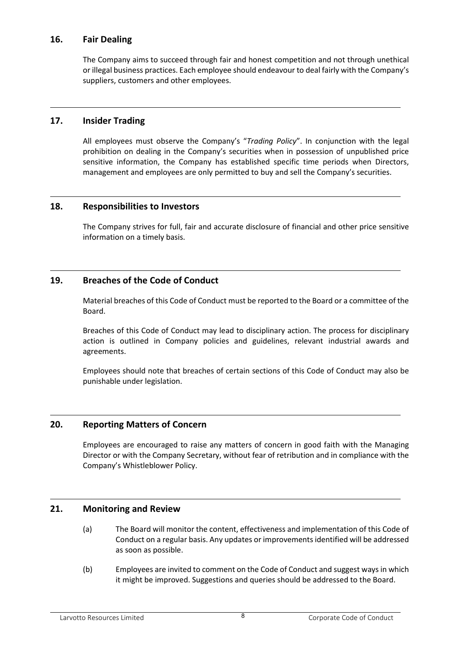# **16. Fair Dealing**

The Company aims to succeed through fair and honest competition and not through unethical or illegal business practices. Each employee should endeavour to deal fairly with the Company's suppliers, customers and other employees.

# **17. Insider Trading**

All employees must observe the Company's "*Trading Policy*". In conjunction with the legal prohibition on dealing in the Company's securities when in possession of unpublished price sensitive information, the Company has established specific time periods when Directors, management and employees are only permitted to buy and sell the Company's securities.

# **18. Responsibilities to Investors**

The Company strives for full, fair and accurate disclosure of financial and other price sensitive information on a timely basis.

# **19. Breaches of the Code of Conduct**

Material breaches of this Code of Conduct must be reported to the Board or a committee of the Board.

Breaches of this Code of Conduct may lead to disciplinary action. The process for disciplinary action is outlined in Company policies and guidelines, relevant industrial awards and agreements.

Employees should note that breaches of certain sections of this Code of Conduct may also be punishable under legislation.

# **20. Reporting Matters of Concern**

Employees are encouraged to raise any matters of concern in good faith with the Managing Director or with the Company Secretary, without fear of retribution and in compliance with the Company's Whistleblower Policy.

# **21. Monitoring and Review**

- (a) The Board will monitor the content, effectiveness and implementation of this Code of Conduct on a regular basis. Any updates or improvements identified will be addressed as soon as possible.
- (b) Employees are invited to comment on the Code of Conduct and suggest ways in which it might be improved. Suggestions and queries should be addressed to the Board.